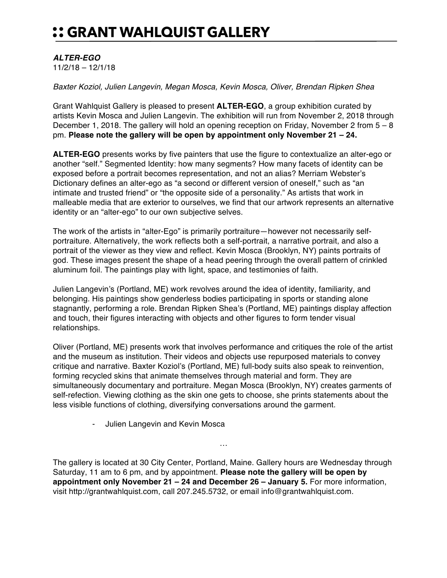## :: GRANT WAHLQUIST GALLERY

## *ALTER-EGO*

11/2/18 – 12/1/18

*Baxter Koziol, Julien Langevin, Megan Mosca, Kevin Mosca, Oliver, Brendan Ripken Shea*

Grant Wahlquist Gallery is pleased to present **ALTER-EGO**, a group exhibition curated by artists Kevin Mosca and Julien Langevin. The exhibition will run from November 2, 2018 through December 1, 2018. The gallery will hold an opening reception on Friday, November 2 from  $5 - 8$ pm. **Please note the gallery will be open by appointment only November 21 – 24.**

**ALTER-EGO** presents works by five painters that use the figure to contextualize an alter-ego or another "self." Segmented Identity: how many segments? How many facets of identity can be exposed before a portrait becomes representation, and not an alias? Merriam Webster's Dictionary defines an alter-ego as "a second or different version of oneself," such as "an intimate and trusted friend" or "the opposite side of a personality." As artists that work in malleable media that are exterior to ourselves, we find that our artwork represents an alternative identity or an "alter-ego" to our own subjective selves.

The work of the artists in "alter-Ego" is primarily portraiture—however not necessarily selfportraiture. Alternatively, the work reflects both a self-portrait, a narrative portrait, and also a portrait of the viewer as they view and reflect. Kevin Mosca (Brooklyn, NY) paints portraits of god. These images present the shape of a head peering through the overall pattern of crinkled aluminum foil. The paintings play with light, space, and testimonies of faith.

Julien Langevin's (Portland, ME) work revolves around the idea of identity, familiarity, and belonging. His paintings show genderless bodies participating in sports or standing alone stagnantly, performing a role. Brendan Ripken Shea's (Portland, ME) paintings display affection and touch, their figures interacting with objects and other figures to form tender visual relationships.

Oliver (Portland, ME) presents work that involves performance and critiques the role of the artist and the museum as institution. Their videos and objects use repurposed materials to convey critique and narrative. Baxter Koziol's (Portland, ME) full-body suits also speak to reinvention, forming recycled skins that animate themselves through material and form. They are simultaneously documentary and portraiture. Megan Mosca (Brooklyn, NY) creates garments of self-refection. Viewing clothing as the skin one gets to choose, she prints statements about the less visible functions of clothing, diversifying conversations around the garment.

- Julien Langevin and Kevin Mosca

The gallery is located at 30 City Center, Portland, Maine. Gallery hours are Wednesday through Saturday, 11 am to 6 pm, and by appointment. **Please note the gallery will be open by appointment only November 21 – 24 and December 26 – January 5.** For more information, visit http://grantwahlquist.com, call 207.245.5732, or email info@grantwahlquist.com.

…